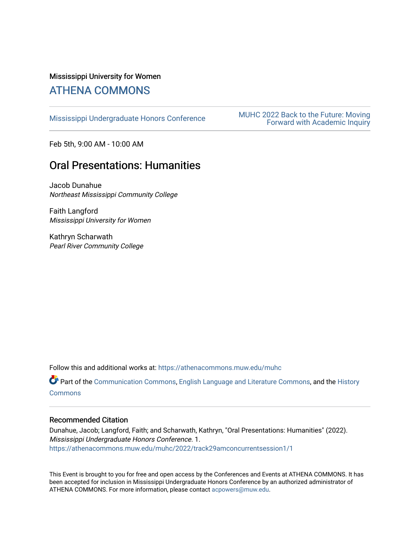## Mississippi University for Women

# [ATHENA COMMONS](https://athenacommons.muw.edu/)

MUHC 2022 Back to the Future: Moving<br>[Mississippi Undergraduate Honors Conference](https://athenacommons.muw.edu/muhc) **MUHC 2022 Back to the Future: Moving** [Forward with Academic Inquiry](https://athenacommons.muw.edu/muhc/2022) 

Feb 5th, 9:00 AM - 10:00 AM

# Oral Presentations: Humanities

Jacob Dunahue Northeast Mississippi Community College

Faith Langford Mississippi University for Women

Kathryn Scharwath Pearl River Community College

Follow this and additional works at: [https://athenacommons.muw.edu/muhc](https://athenacommons.muw.edu/muhc?utm_source=athenacommons.muw.edu%2Fmuhc%2F2022%2Ftrack29amconcurrentsession1%2F1&utm_medium=PDF&utm_campaign=PDFCoverPages) 

Part of the [Communication Commons,](http://network.bepress.com/hgg/discipline/325?utm_source=athenacommons.muw.edu%2Fmuhc%2F2022%2Ftrack29amconcurrentsession1%2F1&utm_medium=PDF&utm_campaign=PDFCoverPages) [English Language and Literature Commons](http://network.bepress.com/hgg/discipline/455?utm_source=athenacommons.muw.edu%2Fmuhc%2F2022%2Ftrack29amconcurrentsession1%2F1&utm_medium=PDF&utm_campaign=PDFCoverPages), and the [History](http://network.bepress.com/hgg/discipline/489?utm_source=athenacommons.muw.edu%2Fmuhc%2F2022%2Ftrack29amconcurrentsession1%2F1&utm_medium=PDF&utm_campaign=PDFCoverPages) **[Commons](http://network.bepress.com/hgg/discipline/489?utm_source=athenacommons.muw.edu%2Fmuhc%2F2022%2Ftrack29amconcurrentsession1%2F1&utm_medium=PDF&utm_campaign=PDFCoverPages)** 

#### Recommended Citation

Dunahue, Jacob; Langford, Faith; and Scharwath, Kathryn, "Oral Presentations: Humanities" (2022). Mississippi Undergraduate Honors Conference. 1. [https://athenacommons.muw.edu/muhc/2022/track29amconcurrentsession1/1](https://athenacommons.muw.edu/muhc/2022/track29amconcurrentsession1/1?utm_source=athenacommons.muw.edu%2Fmuhc%2F2022%2Ftrack29amconcurrentsession1%2F1&utm_medium=PDF&utm_campaign=PDFCoverPages) 

This Event is brought to you for free and open access by the Conferences and Events at ATHENA COMMONS. It has been accepted for inclusion in Mississippi Undergraduate Honors Conference by an authorized administrator of ATHENA COMMONS. For more information, please contact [acpowers@muw.edu](mailto:acpowers@muw.edu).